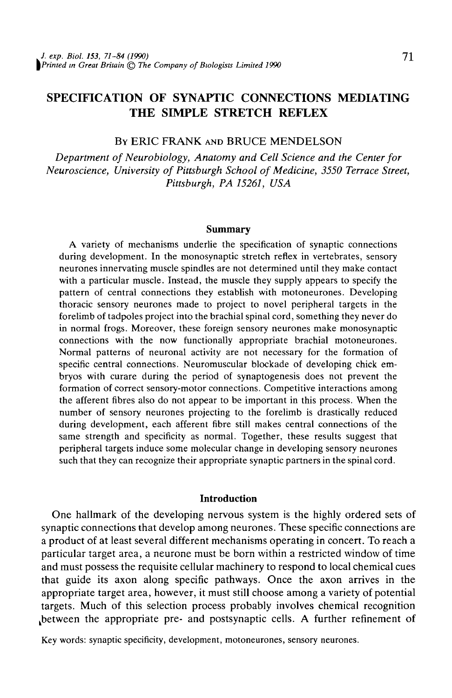# SPECIFICATION OF SYNAPTIC CONNECTIONS MEDIATING THE SIMPLE STRETCH REFLEX

# BY ERIC FRANK AND BRUCE MENDELSON

*Department of Neurobiology, Anatomy and Cell Science and the Center for Neuroscience, University of Pittsburgh School of Medicine, 3550 Terrace Street, Pittsburgh, PA 15261, USA*

#### **Summary**

A variety of mechanisms underlie the specification of synaptic connections during development. In the monosynaptic stretch reflex in vertebrates, sensory neurones innervating muscle spindles are not determined until they make contact with a particular muscle. Instead, the muscle they supply appears to specify the pattern of central connections they establish with motoneurones. Developing thoracic sensory neurones made to project to novel peripheral targets in the forelimb of tadpoles project into the brachial spinal cord, something they never do in normal frogs. Moreover, these foreign sensory neurones make monosynaptic connections with the now functionally appropriate brachial motoneurones. Normal patterns of neuronal activity are not necessary for the formation of specific central connections. Neuromuscular blockade of developing chick embryos with curare during the period of synaptogenesis does not prevent the formation of correct sensory-motor connections. Competitive interactions among the afferent fibres also do not appear to be important in this process. When the number of sensory neurones projecting to the forelimb is drastically reduced during development, each afferent fibre still makes central connections of the same strength and specificity as normal. Together, these results suggest that peripheral targets induce some molecular change in developing sensory neurones such that they can recognize their appropriate synaptic partners in the spinal cord.

#### **Introduction**

One hallmark of the developing nervous system is the highly ordered sets of synaptic connections that develop among neurones. These specific connections are a product of at least several different mechanisms operating in concert. To reach a particular target area, a neurone must be born within a restricted window of time and must possess the requisite cellular machinery to respond to local chemical cues that guide its axon along specific pathways. Once the axon arrives in the appropriate target area, however, it must still choose among a variety of potential targets. Much of this selection process probably involves chemical recognition ^between the appropriate pre- and postsynaptic cells. A further refinement of

Key words: synaptic specificity, development, motoneurones, sensory neurones.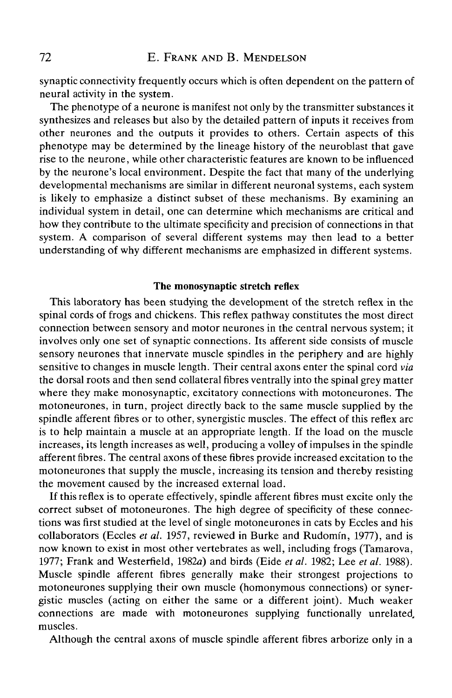synaptic connectivity frequently occurs which is often dependent on the pattern of neural activity in the system.

The phenotype of a neurone is manifest not only by the transmitter substances it synthesizes and releases but also by the detailed pattern of inputs it receives from other neurones and the outputs it provides to others. Certain aspects of this phenotype may be determined by the lineage history of the neuroblast that gave rise to the neurone, while other characteristic features are known to be influenced by the neurone's local environment. Despite the fact that many of the underlying developmental mechanisms are similar in different neuronal systems, each system is likely to emphasize a distinct subset of these mechanisms. By examining an individual system in detail, one can determine which mechanisms are critical and how they contribute to the ultimate specificity and precision of connections in that system. A comparison of several different systems may then lead to a better understanding of why different mechanisms are emphasized in different systems.

#### The monosynaptic stretch reflex

This laboratory has been studying the development of the stretch reflex in the spinal cords of frogs and chickens. This reflex pathway constitutes the most direct connection between sensory and motor neurones in the central nervous system; it involves only one set of synaptic connections. Its afferent side consists of muscle sensory neurones that innervate muscle spindles in the periphery and are highly sensitive to changes in muscle length. Their central axons enter the spinal cord *via* the dorsal roots and then send collateral fibres ventrally into the spinal grey matter where they make monosynaptic, excitatory connections with motoneurones. The motoneurones, in turn, project directly back to the same muscle supplied by the spindle afferent fibres or to other, synergistic muscles. The effect of this reflex arc is to help maintain a muscle at an appropriate length. If the load on the muscle increases, its length increases as well, producing a volley of impulses in the spindle afferent fibres. The central axons of these fibres provide increased excitation to the motoneurones that supply the muscle, increasing its tension and thereby resisting the movement caused by the increased external load.

If this reflex is to operate effectively, spindle afferent fibres must excite only the correct subset of motoneurones. The high degree of specificity of these connections was first studied at the level of single motoneurones in cats by Eccles and his collaborators (Eccles *et al.* 1957, reviewed in Burke and Rudomin, 1977), and is now known to exist in most other vertebrates as well, including frogs (Tamarova, 1977; Frank and Westerfield, 1982a) and birds (Eide *et al.* 1982; Lee *et al.* 1988). Muscle spindle afferent fibres generally make their strongest projections to motoneurones supplying their own muscle (homonymous connections) or synergistic muscles (acting on either the same or a different joint). Much weaker connections are made with motoneurones supplying functionally unrelated, muscles.

Although the central axons of muscle spindle afferent fibres arborize only in a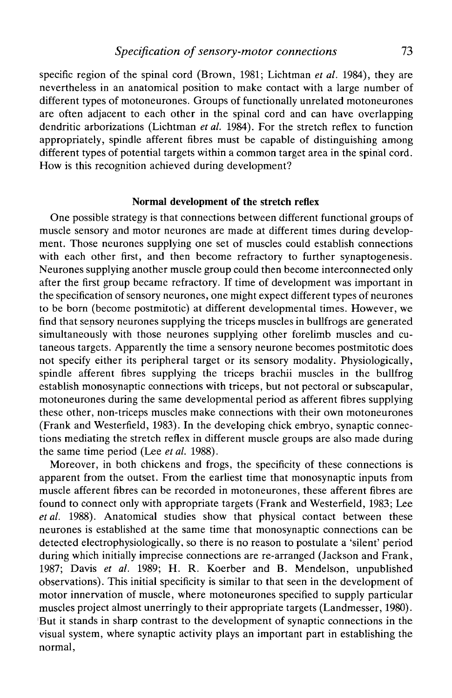specific region of the spinal cord (Brown, 1981; Lichtman *et al.* 1984), they are nevertheless in an anatomical position to make contact with a large number of different types of motoneurones. Groups of functionally unrelated motoneurones are often adjacent to each other in the spinal cord and can have overlapping dendritic arborizations (Lichtman *et al.* 1984). For the stretch reflex to function appropriately, spindle afferent fibres must be capable of distinguishing among different types of potential targets within a common target area in the spinal cord. How is this recognition achieved during development?

### **Normal development of the stretch reflex**

One possible strategy is that connections between different functional groups of muscle sensory and motor neurones are made at different times during development. Those neurones supplying one set of muscles could establish connections with each other first, and then become refractory to further synaptogenesis. Neurones supplying another muscle group could then become interconnected only after the first group became refractory. If time of development was important in the specification of sensory neurones, one might expect different types of neurones to be born (become postmitotic) at different developmental times. However, we find that sensory neurones supplying the triceps muscles in bullfrogs are generated simultaneously with those neurones supplying other forelimb muscles and cutaneous targets. Apparently the time a sensory neurone becomes postmitotic does not specify either its peripheral target or its sensory modality. Physiologically, spindle afferent fibres supplying the triceps brachii muscles in the bullfrog establish monosynaptic connections with triceps, but not pectoral or subscapular, motoneurones during the same developmental period as afferent fibres supplying these other, non-triceps muscles make connections with their own motoneurones (Frank and Westerfield, 1983). In the developing chick embryo, synaptic connections mediating the stretch reflex in different muscle groups are also made during the same time period (Lee *et al.* 1988).

Moreover, in both chickens and frogs, the specificity of these connections is apparent from the outset. From the earliest time that monosynaptic inputs from muscle afferent fibres can be recorded in motoneurones, these afferent fibres are found to connect only with appropriate targets (Frank and Westerfield, 1983; Lee *et al.* 1988). Anatomical studies show that physical contact between these neurones is established at the same time that monosynaptic connections can be detected electrophysiologically, so there is no reason to postulate a 'silent' period during which initially imprecise connections are re-arranged (Jackson and Frank, 1987; Davis *et al.* 1989; H. R. Koerber and B. Mendelson, unpublished observations). This initial specificity is similar to that seen in the development of motor innervation of muscle, where motoneurones specified to supply particular muscles project almost unerringly to their appropriate targets (Landmesser, 1980). But it stands in sharp contrast to the development of synaptic connections in the visual system, where synaptic activity plays an important part in establishing the normal,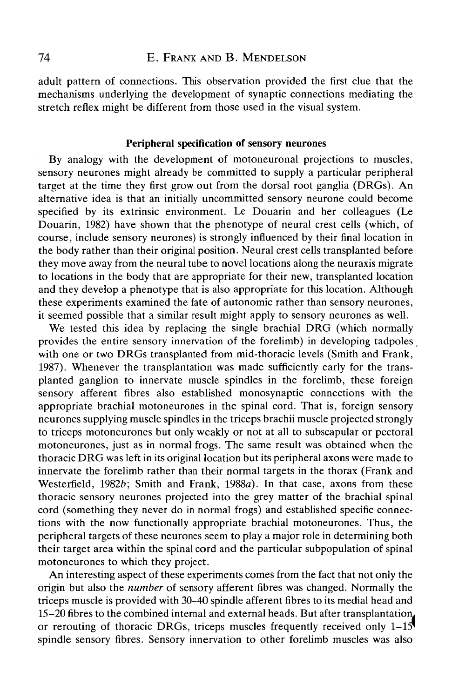adult pattern of connections. This observation provided the first clue that the mechanisms underlying the development of synaptic connections mediating the stretch reflex might be different from those used in the visual system.

# Peripheral specification of sensory neurones

By analogy with the development of motoneuronal projections to muscles, sensory neurones might already be committed to supply a particular peripheral target at the time they first grow out from the dorsal root ganglia (DRGs). An alternative idea is that an initially uncommitted sensory neurone could become specified by its extrinsic environment. Le Douarin and her colleagues (Le Douarin, 1982) have shown that the phenotype of neural crest cells (which, of course, include sensory neurones) is strongly influenced by their final location in the body rather than their original position. Neural crest cells transplanted before they move away from the neural tube to novel locations along the neuraxis migrate to locations in the body that are appropriate for their new, transplanted location and they develop a phenotype that is also appropriate for this location. Although these experiments examined the fate of autonomic rather than sensory neurones, it seemed possible that a similar result might apply to sensory neurones as well.

We tested this idea by replacing the single brachial DRG (which normally provides the entire sensory innervation of the forelimb) in developing tadpoles with one or two DRGs transplanted from mid-thoracic levels (Smith and Frank, 1987). Whenever the transplantation was made sufficiently early for the transplanted ganglion to innervate muscle spindles in the forelimb, these foreign sensory afferent fibres also established monosynaptic connections with the appropriate brachial motoneurones in the spinal cord. That is, foreign sensory neurones supplying muscle spindles in the triceps brachii muscle projected strongly to triceps motoneurones but only weakly or not at all to subscapular or pectoral motoneurones, just as in normal frogs. The same result was obtained when the thoracic DRG was left in its original location but its peripheral axons were made to innervate the forelimb rather than their normal targets in the thorax (Frank and Westerfield,  $1982b$ ; Smith and Frank,  $1988a$ ). In that case, axons from these thoracic sensory neurones projected into the grey matter of the brachial spinal cord (something they never do in normal frogs) and established specific connections with the now functionally appropriate brachial motoneurones. Thus, the peripheral targets of these neurones seem to play a major role in determining both their target area within the spinal cord and the particular subpopulation of spinal motoneurones to which they project.

An interesting aspect of these experiments comes from the fact that not only the origin but also the *number* of sensory afferent fibres was changed. Normally the triceps muscle is provided with 30-40 spindle afferent fibres to its medial head and 15-20 fibres to the combined internal and external heads. But after transplantation, or rerouting of thoracic DRGs, triceps muscles frequently received only  $1-15$ spindle sensory fibres. Sensory innervation to other forelimb muscles was also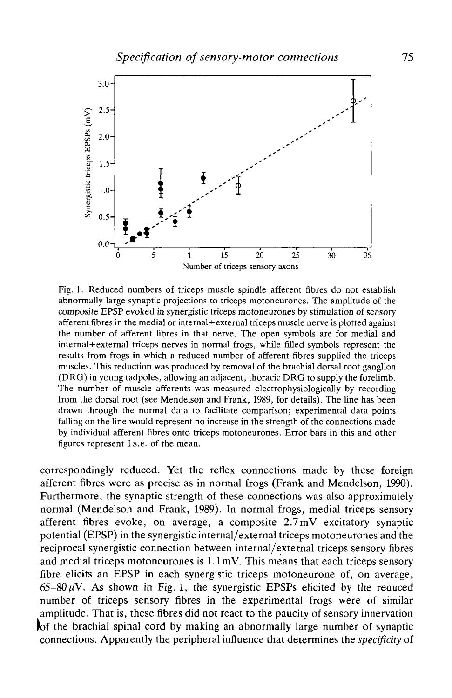

Fig. 1. Reduced numbers of triceps muscle spindle afferent fibres do not establish abnormally large synaptic projections to triceps motoneurones. The amplitude of the composite EPSP evoked in synergistic triceps motoneurones by stimulation of sensory afferent fibres in the medial or internal+external triceps muscle nerve is plotted against the number of afferent fibres in that nerve. The open symbols are for medial and internal+external triceps nerves in normal frogs, while filled symbols represent the results from frogs in which a reduced number of afferent fibres supplied the triceps muscles. This reduction was produced by removal of the brachial dorsal root ganglion (DRG) in young tadpoles, allowing an adjacent, thoracic DRG to supply the forelimb. The number of muscle afferents was measured electrophysiologically by recording from the dorsal root (see Mendelson and Frank, 1989, for details). The line has been drawn through the normal data to facilitate comparison; experimental data points falling on the line would represent no increase in the strength of the connections made by individual afferent fibres onto triceps motoneurones. Error bars in this and other figures represent ls.E. of the mean.

correspondingly reduced. Yet the reflex connections made by these foreign afferent fibres were as precise as in normal frogs (Frank and Mendelson, 1990). Furthermore, the synaptic strength of these connections was also approximately normal (Mendelson and Frank, 1989). In normal frogs, medial triceps sensory afferent fibres evoke, on average, a composite 2.7 mV excitatory synaptic potential (EPSP) in the synergistic internal/external triceps motoneurones and the reciprocal synergistic connection between internal/external triceps sensory fibres and medial triceps motoneurones is 1.1 mV. This means that each triceps sensory fibre elicits an EPSP in each synergistic triceps motoneurone of, on average,  $65-80 \mu V$ . As shown in Fig. 1, the synergistic EPSPs elicited by the reduced number of triceps sensory fibres in the experimental frogs were of similar amplitude. That is, these fibres did not react to the paucity of sensory innervation |of the brachial spinal cord by making an abnormally large number of synaptic connections. Apparently the peripheral influence that determines the *specificity* of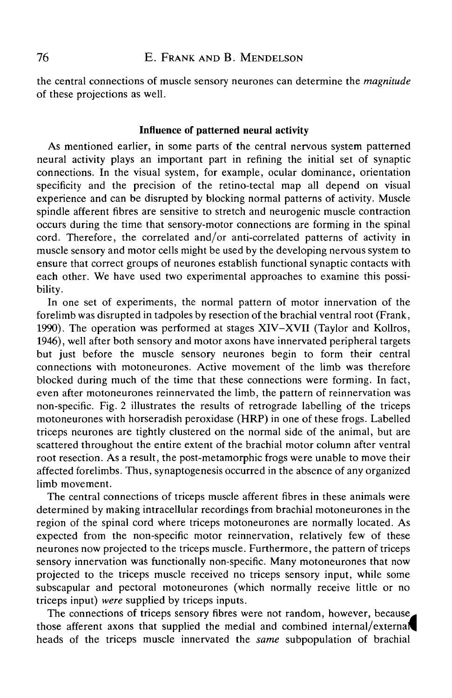the central connections of muscle sensory neurones can determine the *magnitude* of these projections as well.

# **Influence of patterned neural activity**

As mentioned earlier, in some parts of the central nervous system patterned neural activity plays an important part in refining the initial set of synaptic connections. In the visual system, for example, ocular dominance, orientation specificity and the precision of the retino-tectal map all depend on visual experience and can be disrupted by blocking normal patterns of activity. Muscle spindle afferent fibres are sensitive to stretch and neurogenic muscle contraction occurs during the time that sensory-motor connections are forming in the spinal cord. Therefore, the correlated and/or anti-correlated patterns of activity in muscle sensory and motor cells might be used by the developing nervous system to ensure that correct groups of neurones establish functional synaptic contacts with each other. We have used two experimental approaches to examine this possibility.

In one set of experiments, the normal pattern of motor innervation of the forelimb was disrupted in tadpoles by resection of the brachial ventral root (Frank, 1990). The operation was performed at stages XIV-XVII (Taylor and Kollros, 1946), well after both sensory and motor axons have innervated peripheral targets but just before the muscle sensory neurones begin to form their central connections with motoneurones. Active movement of the limb was therefore blocked during much of the time that these connections were forming. In fact, even after motoneurones reinnervated the limb, the pattern of reinnervation was non-specific. Fig. 2 illustrates the results of retrograde labelling of the triceps motoneurones with horseradish peroxidase (HRP) in one of these frogs. Labelled triceps neurones are tightly clustered on the normal side of the animal, but are scattered throughout the entire extent of the brachial motor column after ventral root resection. As a result, the post-metamorphic frogs were unable to move their affected forelimbs. Thus, synaptogenesis occurred in the absence of any organized limb movement.

The central connections of triceps muscle afferent fibres in these animals were determined by making intracellular recordings from brachial motoneurones in the region of the spinal cord where triceps motoneurones are normally located. As expected from the non-specific motor reinnervation, relatively few of these neurones now projected to the triceps muscle. Furthermore, the pattern of triceps sensory innervation was functionally non-specific. Many motoneurones that now projected to the triceps muscle received no triceps sensory input, while some subscapular and pectoral motoneurones (which normally receive little or no triceps input) *were* supplied by triceps inputs.

The connections of triceps sensory fibres were not random, however, because those afferent axons that supplied the medial and combined internal/external^ heads of the triceps muscle innervated the *same* subpopulation of brachial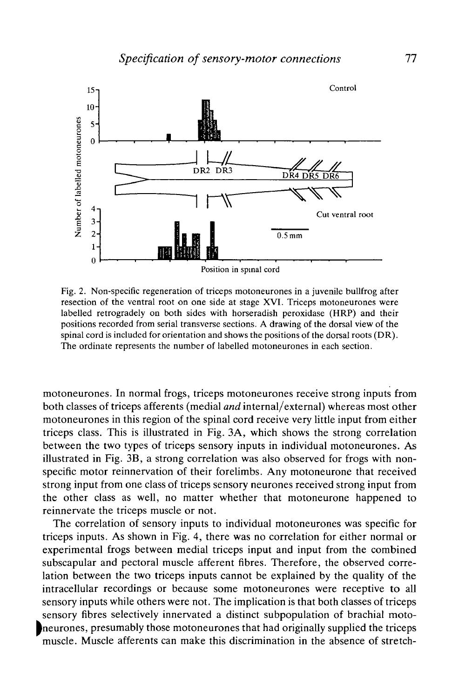

Fig. 2. Non-specific regeneration of triceps motoneurones in a juvenile bullfrog after resection of the ventral root on one side at stage XVI. Triceps motoneurones were labelled retrogradely on both sides with horseradish peroxidase (HRP) and their positions recorded from serial transverse sections. A drawing of the dorsal view of the spinal cord is included for orientation and shows the positions of the dorsal roots (DR). The ordinate represents the number of labelled motoneurones in each section.

motoneurones. In normal frogs, triceps motoneurones receive strong inputs from both classes of triceps afferents (medial *and* internal/external) whereas most other motoneurones in this region of the spinal cord receive very little input from either triceps class. This is illustrated in Fig. 3A, which shows the strong correlation between the two types of triceps sensory inputs in individual motoneurones. As illustrated in Fig. 3B, a strong correlation was also observed for frogs with nonspecific motor reinnervation of their forelimbs. Any motoneurone that received strong input from one class of triceps sensory neurones received strong input from the other class as well, no matter whether that motoneurone happened to reinnervate the triceps muscle or not.

The correlation of sensory inputs to individual motoneurones was specific for triceps inputs. As shown in Fig. 4, there was no correlation for either normal or experimental frogs between medial triceps input and input from the combined subscapular and pectoral muscle afferent fibres. Therefore, the observed correlation between the two triceps inputs cannot be explained by the quality of the intracellular recordings or because some motoneurones were receptive to all sensory inputs while others were not. The implication is that both classes of triceps sensory fibres selectively innervated a distinct subpopulation of brachial motoneurones, presumably those motoneurones that had originally supplied the triceps muscle. Muscle afferents can make this discrimination in the absence of stretch-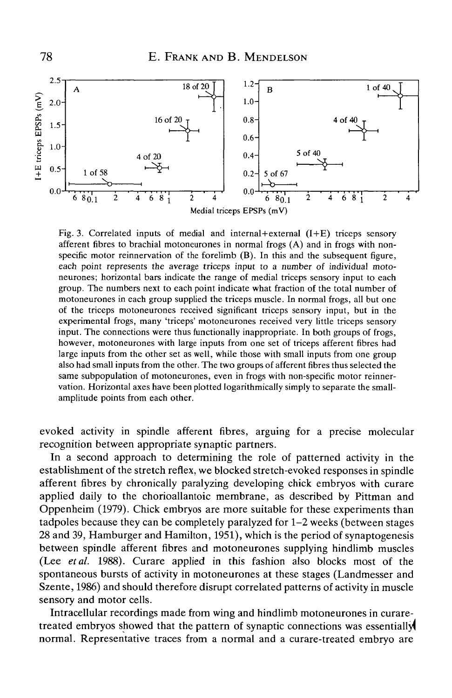

Fig. 3. Correlated inputs of medial and internal+external  $(I+E)$  triceps sensory afferent fibres to brachial motoneurones in normal frogs (A) and in frogs with nonspecific motor reinnervation of the forelimb (B). In this and the subsequent figure, each point represents the average triceps input to a number of individual motoneurones; horizontal bars indicate the range of medial triceps sensory input to each group. The numbers next to each point indicate what fraction of the total number of motoneurones in each group supplied the triceps muscle. In normal frogs, all but one of the triceps motoneurones received significant triceps sensory input, but in the experimental frogs, many 'triceps' motoneurones received very little triceps sensory input. The connections were thus functionally inappropriate. In both groups of frogs, however, motoneurones with large inputs from one set of triceps afferent fibres had large inputs from the other set as well, while those with small inputs from one group also had small inputs from the other. The two groups of afferent fibres thus selected the same subpopulation of motoneurones, even in frogs with non-specific motor reinnervation. Horizontal axes have been plotted logarithmically simply to separate the smallamplitude points from each other.

evoked activity in spindle afferent fibres, arguing for a precise molecular recognition between appropriate synaptic partners.

In a second approach to determining the role of patterned activity in the establishment of the stretch reflex, we blocked stretch-evoked responses in spindle afferent fibres by chronically paralyzing developing chick embryos with curare applied daily to the chorioallantoic membrane, as described by Pittman and Oppenheim (1979). Chick embryos are more suitable for these experiments than tadpoles because they can be completely paralyzed for 1-2 weeks (between stages 28 and 39, Hamburger and Hamilton, 1951), which is the period of synaptogenesis between spindle afferent fibres and motoneurones supplying hindlimb muscles (Lee *etal.* 1988). Curare applied in this fashion also blocks most of the spontaneous bursts of activity in motoneurones at these stages (Landmesser and Szente, 1986) and should therefore disrupt correlated patterns of activity in muscle sensory and motor cells.

Intracellular recordings made from wing and hindlimb motoneurones in curaretreated embryos showed that the pattern of synaptic connections was essentially! normal. Representative traces from a normal and a curare-treated embryo are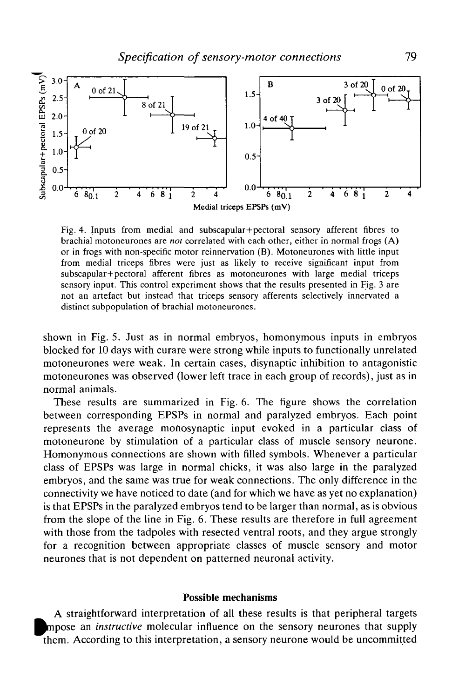

Fig. 4. Inputs from medial and subscapular+pectoral sensory afferent fibres to brachial motoneurones are *not* correlated with each other, either in normal frogs (A) or in frogs with non-specific motor reinnervation (B). Motoneurones with little input from medial triceps fibres were just as likely to receive significant input from subscapular+pectoral afferent fibres as motoneurones with large medial triceps sensory input. This control experiment shows that the results presented in Fig. 3 are not an artefact but instead that triceps sensory afferents selectively innervated a distinct subpopulation of brachial motoneurones.

shown in Fig. 5. Just as in normal embryos, homonymous inputs in embryos blocked for 10 days with curare were strong while inputs to functionally unrelated motoneurones were weak. In certain cases, disynaptic inhibition to antagonistic motoneurones was observed (lower left trace in each group of records), just as in normal animals.

These results are summarized in Fig. 6. The figure shows the correlation between corresponding EPSPs in normal and paralyzed embryos. Each point represents the average monosynaptic input evoked in a particular class of motoneurone by stimulation of a particular class of muscle sensory neurone. Homonymous connections are shown with filled symbols. Whenever a particular class of EPSPs was large in normal chicks, it was also large in the paralyzed embryos, and the same was true for weak connections. The only difference in the connectivity we have noticed to date (and for which we have as yet no explanation) is that EPSPs in the paralyzed embryos tend to be larger than normal, as is obvious from the slope of the line in Fig. 6. These results are therefore in full agreement with those from the tadpoles with resected ventral roots, and they argue strongly for a recognition between appropriate classes of muscle sensory and motor neurones that is not dependent on patterned neuronal activity.

### **Possible mechanisms**

A straightforward interpretation of all these results is that peripheral targets mpose an *instructive* molecular influence on the sensory neurones that supply them. According to this interpretation, a sensory neurone would be uncommitted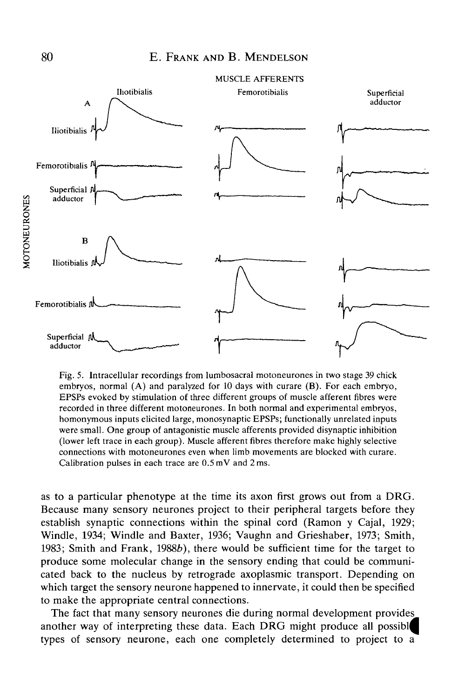

Fig. 5. Intracellular recordings from lumbosacral motoneurones in two stage 39 chick embryos, normal (A) and paralyzed for 10 days with curare (B). For each embryo, EPSPs evoked by stimulation of three different groups of muscle afferent fibres were recorded in three different motoneurones. In both normal and experimental embryos, homonymous inputs elicited large, monosynaptic EPSPs; functionally unrelated inputs were small. One group of antagonistic muscle afferents provided disynaptic inhibition (lower left trace in each group). Muscle afferent fibres therefore make highly selective connections with motoneurones even when limb movements are blocked with curare. Calibration pulses in each trace are 0.5 mV and 2 ms.

as to a particular phenotype at the time its axon first grows out from a DRG. Because many sensory neurones project to their peripheral targets before they establish synaptic connections within the spinal cord (Ramon y Cajal, 1929; Windle, 1934; Windle and Baxter, 1936; Vaughn and Grieshaber, 1973; Smith, 1983; Smith and Frank, *1988b),* there would be sufficient time for the target to produce some molecular change in the sensory ending that could be communicated back to the nucleus by retrograde axoplasmic transport. Depending on which target the sensory neurone happened to innervate, it could then be specified to make the appropriate central connections.

The fact that many sensory neurones die during normal development provides another way of interpreting these data. Each DRG might produce all possibl types of sensory neurone, each one completely determined to project to a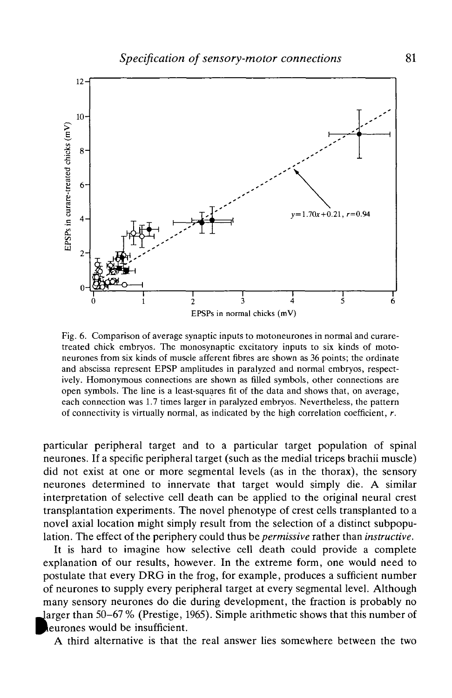

Fig. 6. Comparison of average synaptic inputs to motoneurones in normal and curaretreated chick embryos. The monosynaptic excitatory inputs to six kinds of motoneurones from six kinds of muscle afferent fibres are shown as 36 points; the ordinate and abscissa represent EPSP amplitudes in paralyzed and normal embryos, respectively. Homonymous connections are shown as filled symbols, other connections are open symbols. The line is a least-squares fit of the data and shows that, on average, each connection was 1.7 times larger in paralyzed embryos. Nevertheless, the pattern of connectivity is virtually normal, as indicated by the high correlation coefficient, *r.*

particular peripheral target and to a particular target population of spinal neurones. If a specific peripheral target (such as the medial triceps brachii muscle) did not exist at one or more segmental levels (as in the thorax), the sensory neurones determined to innervate that target would simply die. A similar interpretation of selective cell death can be applied to the original neural crest transplantation experiments. The novel phenotype of crest cells transplanted to a novel axial location might simply result from the selection of a distinct subpopulation. The effect of the periphery could thus be *permissive* rather than *instructive.*

It is hard to imagine how selective cell death could provide a complete explanation of our results, however. In the extreme form, one would need to postulate that every DRG in the frog, for example, produces a sufficient number of neurones to supply every peripheral target at every segmental level. Although many sensory neurones do die during development, the fraction is probably no Jarger than 50-67 % (Prestige, 1965). Simple arithmetic shows that this number of leurones would be insufficient.

A third alternative is that the real answer lies somewhere between the two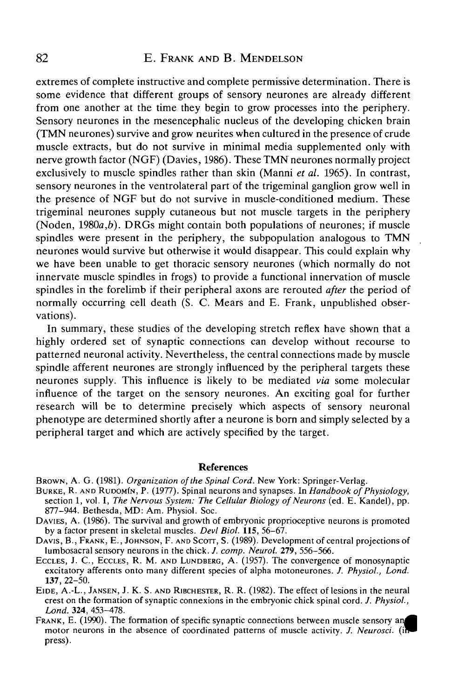# 82 E. FRANK AND B. MENDELSON

extremes of complete instructive and complete permissive determination. There is some evidence that different groups of sensory neurones are already different from one another at the time they begin to grow processes into the periphery. Sensory neurones in the mesencephalic nucleus of the developing chicken brain (TMN neurones) survive and grow neurites when cultured in the presence of crude muscle extracts, but do not survive in minimal media supplemented only with nerve growth factor (NGF) (Davies, 1986). These TMN neurones normally project exclusively to muscle spindles rather than skin (Manni *et al.* 1965). In contrast, sensory neurones in the ventrolateral part of the trigeminal ganglion grow well in the presence of NGF but do not survive in muscle-conditioned medium. These trigeminal neurones supply cutaneous but not muscle targets in the periphery (Noden, 1980a,*b).* DRGs might contain both populations of neurones; if muscle spindles were present in the periphery, the subpopulation analogous to TMN neurones would survive but otherwise it would disappear. This could explain why we have been unable to get thoracic sensory neurones (which normally do not innervate muscle spindles in frogs) to provide a functional innervation of muscle spindles in the forelimb if their peripheral axons are rerouted *after* the period of normally occurring cell death (S. C. Mears and E. Frank, unpublished observations).

In summary, these studies of the developing stretch reflex have shown that a highly ordered set of synaptic connections can develop without recourse to patterned neuronal activity. Nevertheless, the central connections made by muscle spindle afferent neurones are strongly influenced by the peripheral targets these neurones supply. This influence is likely to be mediated *via* some molecular influence of the target on the sensory neurones. An exciting goal for further research will be to determine precisely which aspects of sensory neuronal phenotype are determined shortly after a neurone is born and simply selected by a peripheral target and which are actively specified by the target.

#### References

- BROWN, A. G. (1981). *Organization of the Spinal Cord.* New York: Springer-Verlag.<br>BURKE, R. AND RUDOMIN, P. (1977). Spinal neurons and synapses. In *Handbook of Physiology*, section 1, vol. I, *The Nervous System: The Cel*
- 877–944. Bethesda, MD: Am. Physiol. Soc.<br>DAVIES, A. (1986). The survival and growth of embryonic proprioceptive neurons is promoted<br>by a factor present in skeletal muscles. *Devl Biol*. 115, 56–67.

DAVIS, B., FRANK, E., JOHNSON, F. AND SCOTT, S. (1989). Development of central projections of lumbosacral sensory neurons in the chick. *J. comp. Neurol.* 279, 556–566.

ECCLES, J. C., ECCLES, R. M. AND LUNDBERG, A. (1957). The convergence of monosynaptic excitatory afferents onto many different species of alpha motoneurones. *J. Physiol., Lond.*<br>137, 22–50.

**137,** 22-50. EIDE, A.-L., JANSEN, J. K. S. AND RIBCHESTER, R. R. (1982). The effect of lesions in the neural crest on the formation of synaptic connexions in the embryonic chick spinal cord. *J. Physiol.,*

**FRANK, E. (1990). The formation of specific synaptic connections between muscle sensory an** motor neurons in the absence of coordinated patterns of muscle activity. *J. Neurosci.* press).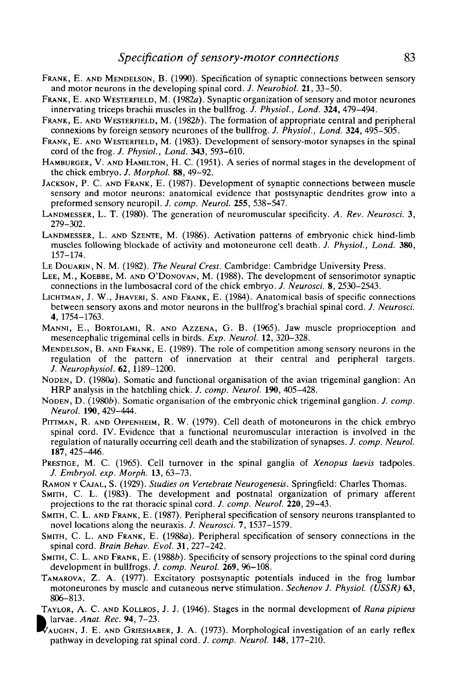- FRANK, E. AND MENDELSON, B. (1990). Specification of synaptic connections between sensory and motor neurons in the developing spinal cord. *J. Neurobiol.* **21,** 33-50.
- FRANK, E. AND WESTERFIELD, M. (1982a). Synaptic organization of sensory and motor neurones innervating triceps brachii muscles in the bullfrog. /. *Physiol., Lond.* **324,** 479-494.
- FRANK, E. AND WESTERFIELD, M. (1982b). The formation of appropriate central and peripheral connexions by foreign sensory neurones of the bullfrog. *J. Physiol., Lond.* **324,** 495-505.
- FRANK, E. AND WESTERFIELD, M. (1983). Development of sensory-motor synapses in the spinal cord of the frog. *J. Physiol., Lond.* **343,** 593-610.
- HAMBURGER, V. AND HAMILTON, H. C. (1951). A series of normal stages in the development of the chick embryo. *J. Morphol.* **88,** 49-92.
- JACKSON, P. C. AND FRANK, E. (1987). Development of synaptic connections between muscle sensory and motor neurons: anatomical evidence that postsynaptic dendrites grow into a preformed sensory neuropil. *J. comp. Neurol.* **255,** 538-547.
- LANDMESSER, L. T. (1980). The generation of neuromuscular specificity. *A. Rev. Neurosci.* 3,  $279 - 302$ .
- LANDMESSER, L. AND SZENTE, M. (1986). Activation patterns of embryonic chick hind-limb muscles following blockade of activity and motoneurone cell death. *J. Physiol., Lond.* **380,** 157-174.
- LE DOUARIN, N. M. (1982). *The Neural Crest.* Cambridge: Cambridge University Press.
- LEE, M., KOEBBE, M. AND O'DONOVAN, M. (1988). The development of sensorimotor synaptic connections in the lumbosacral cord of the chick embryo. *J. Neurosci.* 8, 2530-2543.
- LICHTMAN, J. W., JHAVERI, S. AND FRANK, E. (1984). Anatomical basis of specific connections between sensory axons and motor neurons in the bullfrog's brachial spinal cord. *J. Neurosci.* 4, 1754-1763.
- MANNI, E., BORTOLAMI, R. AND AZZENA, G. B. (1965). Jaw muscle proprioception and mesencephalic trigeminal cells in birds. *Exp. Neurol.* **12,** 320-328.
- MENDELSON, B. AND FRANK, E. (1989). The role of competition among sensory neurons in the regulation of the pattern of innervation at their central and peripheral targets. *J. Neurophysiol.* **62,** 1189-1200.
- NODEN, D. (1980a). Somatic and functional organisation of the avian trigeminal ganglion: An HRP analysis in the hatchling chick. *J. comp. Neurol.* **190,** 405-428.
- NODEN, D. (1980b). Somatic organisation of the embryonic chick trigeminal ganglion. *J. comp. Neurol.* **190,** 429-444.
- PITTMAN, R. AND OPPENHEIM, R. W. (1979). Cell death of motoneurons in the chick embryo spinal cord. IV. Evidence that a functional neuromuscular interaction is involved in the regulation of naturally occurring cell death and the stabilization of synapses. *J. comp. Neurol.* **187,** 425-446.
- PRESTIGE, M. C. (1965). Cell turnover in the spinal ganglia of *Xenopus laevis* tadpoles. *J. Embryol. exp. Morph.* **13,** 63-73.
- RAMON Y CAJAL, S. (1929). *Studies on Vertebrate Neurogenesis.* Springfield: Charles Thomas.
- SMITH, C. L. (1983). The development and postnatal organization of primary afferent projections to the rat thoracic spinal cord. /. *comp. Neurol.* **220,** 29-43.
- SMITH, C. L. AND FRANK, E. (1987). Peripheral specification of sensory neurons transplanted to novel locations along the neuraxis. /. *Neurosci.* 7, 1537-1579.
- SMITH, C. L. AND FRANK, E. (1988a). Peripheral specification of sensory connections in the spinal cord. *Brain Behav. Evol.* **31,** 227-242.
- SMITH, C. L. AND FRANK, E. (1988b). Specificity of sensory projections to the spinal cord during development in bullfrogs. /. *comp. Neurol. 269,* 96-108.
- TAMAROVA, Z. A. (1977). Excitatory postsynaptic potentials induced in the frog lumbar motoneurones by muscle and cutaneous nerve stimulation. *Sechenov J. Physiol. (USSR)* **63,** 806-813.
- TAYLOR, A. C. AND KOLLROS, J. J. (1946). Stages in the normal development of *Rana pipiens* larvae. *Anat. Rec.* **94,** 7-23.
- AUGHN, J. E. AND GRIESHABER, J. A. (1973). Morphological investigation of an early reflex pathway in developing rat spinal cord. *J. comp. Neurol.* **148,** 177-210.